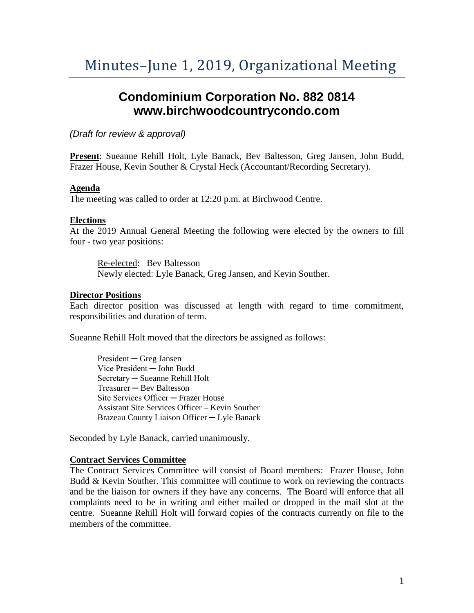# **Condominium Corporation No. 882 0814 www.birchwoodcountrycondo.com**

*(Draft for review & approval)*

**Present**: Sueanne Rehill Holt, Lyle Banack, Bev Baltesson, Greg Jansen, John Budd, Frazer House, Kevin Souther & Crystal Heck (Accountant/Recording Secretary).

## **Agenda**

The meeting was called to order at 12:20 p.m. at Birchwood Centre.

### **Elections**

At the 2019 Annual General Meeting the following were elected by the owners to fill four - two year positions:

Re-elected: Bev Baltesson Newly elected: Lyle Banack, Greg Jansen, and Kevin Souther.

### **Director Positions**

Each director position was discussed at length with regard to time commitment, responsibilities and duration of term.

Sueanne Rehill Holt moved that the directors be assigned as follows:

President ─ Greg Jansen Vice President ─ John Budd Secretary ─ Sueanne Rehill Holt Treasurer — Bev Baltesson Site Services Officer ─ Frazer House Assistant Site Services Officer – Kevin Souther Brazeau County Liaison Officer ─ Lyle Banack

Seconded by Lyle Banack, carried unanimously.

### **Contract Services Committee**

The Contract Services Committee will consist of Board members: Frazer House, John Budd & Kevin Souther. This committee will continue to work on reviewing the contracts and be the liaison for owners if they have any concerns. The Board will enforce that all complaints need to be in writing and either mailed or dropped in the mail slot at the centre. Sueanne Rehill Holt will forward copies of the contracts currently on file to the members of the committee.